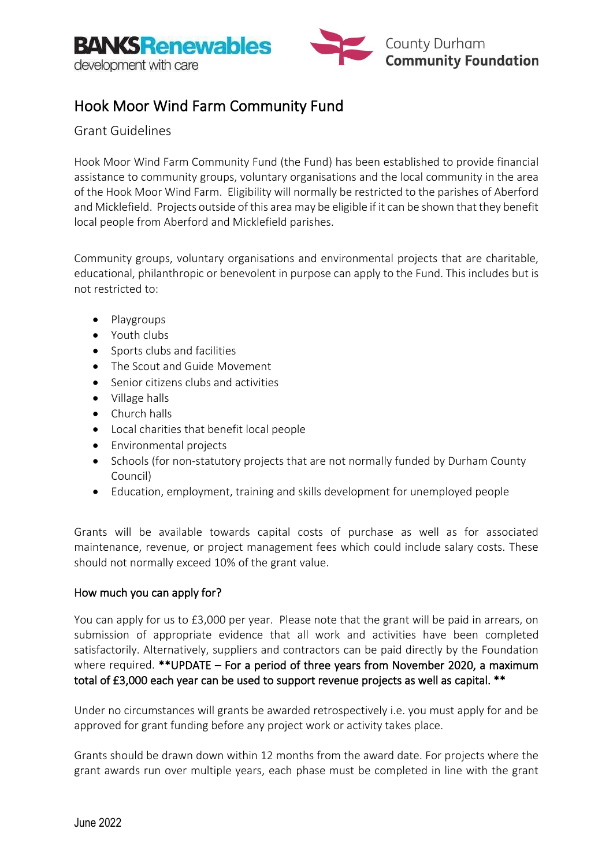

## Hook Moor Wind Farm Community Fund

## Grant Guidelines

Hook Moor Wind Farm Community Fund (the Fund) has been established to provide financial assistance to community groups, voluntary organisations and the local community in the area of the Hook Moor Wind Farm. Eligibility will normally be restricted to the parishes of Aberford and Micklefield. Projects outside of this area may be eligible if it can be shown that they benefit local people from Aberford and Micklefield parishes.

Community groups, voluntary organisations and environmental projects that are charitable, educational, philanthropic or benevolent in purpose can apply to the Fund. This includes but is not restricted to:

- Playgroups
- Youth clubs
- Sports clubs and facilities
- The Scout and Guide Movement
- Senior citizens clubs and activities
- Village halls
- Church halls
- Local charities that benefit local people
- Environmental projects
- Schools (for non-statutory projects that are not normally funded by Durham County Council)
- Education, employment, training and skills development for unemployed people

Grants will be available towards capital costs of purchase as well as for associated maintenance, revenue, or project management fees which could include salary costs. These should not normally exceed 10% of the grant value.

#### How much you can apply for?

You can apply for us to £3,000 per year. Please note that the grant will be paid in arrears, on submission of appropriate evidence that all work and activities have been completed satisfactorily. Alternatively, suppliers and contractors can be paid directly by the Foundation where required. \*\* UPDATE – For a period of three years from November 2020, a maximum total of £3,000 each year can be used to support revenue projects as well as capital. \*\*

Under no circumstances will grants be awarded retrospectively i.e. you must apply for and be approved for grant funding before any project work or activity takes place.

Grants should be drawn down within 12 months from the award date. For projects where the grant awards run over multiple years, each phase must be completed in line with the grant